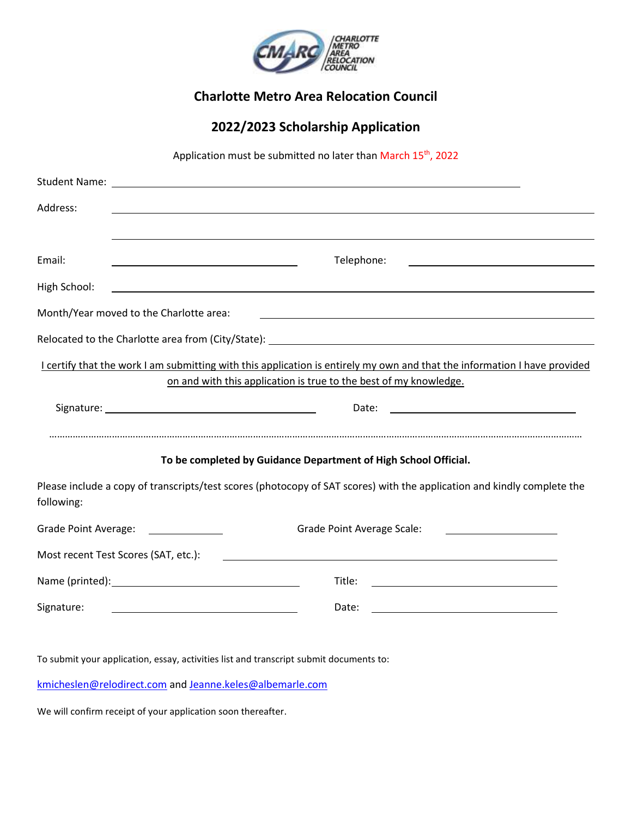

### **Charlotte Metro Area Relocation Council**

# **2022/2023 Scholarship Application**

Application must be submitted no later than March 15<sup>th</sup>, 2022

| Address:                                                                                                                                    |                                                                                                                                                                                                |
|---------------------------------------------------------------------------------------------------------------------------------------------|------------------------------------------------------------------------------------------------------------------------------------------------------------------------------------------------|
|                                                                                                                                             |                                                                                                                                                                                                |
| Email:                                                                                                                                      | Telephone:                                                                                                                                                                                     |
| High School:                                                                                                                                | <u> 1989 - Johann Stoff, deutscher Stoff, der Stoff, der Stoff, der Stoff, der Stoff, der Stoff, der Stoff, der S</u>                                                                          |
|                                                                                                                                             | Month/Year moved to the Charlotte area:                                                                                                                                                        |
|                                                                                                                                             | Relocated to the Charlotte area from (City/State): ______________________________                                                                                                              |
|                                                                                                                                             | I certify that the work I am submitting with this application is entirely my own and that the information I have provided<br>on and with this application is true to the best of my knowledge. |
|                                                                                                                                             |                                                                                                                                                                                                |
|                                                                                                                                             | Date:<br><u> 1989 - Johann Barbara, martin amerikan basar dan basa dan basa dan basa dalam basa dalam basa dalam basa dala</u>                                                                 |
|                                                                                                                                             | To be completed by Guidance Department of High School Official.                                                                                                                                |
| following:                                                                                                                                  | Please include a copy of transcripts/test scores (photocopy of SAT scores) with the application and kindly complete the                                                                        |
|                                                                                                                                             | Grade Point Average: ______________<br>Grade Point Average Scale:                                                                                                                              |
|                                                                                                                                             | Most recent Test Scores (SAT, etc.):<br><u> 1980 - Jan Sterling Sterling (d. 1980)</u>                                                                                                         |
|                                                                                                                                             | Title:<br><u> 1989 - Andrea Stadt Britain, fransk politik (d. 1989)</u>                                                                                                                        |
| Signature:<br>Date:<br><u> 1980 - Johann Barn, mars ann an t-Amhain Aonaich an t-Aonaich an t-Aonaich ann an t-Aonaich ann an t-Aonaich</u> |                                                                                                                                                                                                |
|                                                                                                                                             |                                                                                                                                                                                                |

To submit your application, essay, activities list and transcript submit documents to:

[kmicheslen@relodirect.com](mailto:kmicheslen@relodirect.com) an[d Jeanne.keles@albemarle.com](mailto:Jeanne.keles@albemarle.com)

We will confirm receipt of your application soon thereafter.